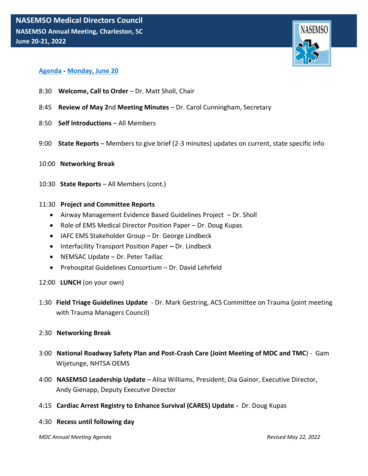

# **Agenda - Monday, June 20**

- 8:30 **Welcome, Call to Order** Dr. Matt Sholl, Chair
- 8:45 **Review of May 2**nd **Meeting Minutes**  Dr. Carol Cunningham, Secretary
- 8:50 **Self Introductions**  All Members
- 9:00 **State Reports**  Members to give brief (2-3 minutes) updates on current, state specific info
- 10:00 **Networking Break**
- 10:30 **State Reports**  All Members (cont.)

### 11:30 **Project and Committee Reports**

- Airway Management Evidence Based Guidelines Project Dr. Sholl
- Role of EMS Medical Director Position Paper Dr. Doug Kupas
- IAFC EMS Stakeholder Group Dr. George Lindbeck
- Interfacility Transport Position Paper **–** Dr. Lindbeck
- NEMSAC Update Dr. Peter Taillac
- Prehospital Guidelines Consortium Dr. David Lehrfeld
- 12:00 **LUNCH** (on your own)
- 1:30 **Field Triage Guidelines Update** Dr. Mark Gestring, ACS Committee on Trauma (joint meeting with Trauma Managers Council)

### 2:30 **Networking Break**

- 3:00 **National Roadway Safety Plan and Post-Crash Care (Joint Meeting of MDC and TMC**) Gam Wijetunge, NHTSA OEMS
- 4:00 **NASEMSO Leadership Update**  Alisa Williams, President; Dia Gainor, Executive Director, Andy Gienapp, Deputy Executve Director
- 4:15 **Cardiac Arrest Registry to Enhance Survival (CARES) Update -** Dr. Doug Kupas

### 4:30 **Recess until following day**

*MDC Annual Meeting Agenda Revised May 22, 2022*